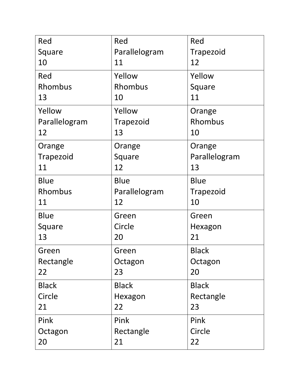| Red           | Red           | Red           |
|---------------|---------------|---------------|
| Square        | Parallelogram | Trapezoid     |
| 10            | 11            | 12            |
| Red           | Yellow        | Yellow        |
| Rhombus       | Rhombus       | Square        |
| 13            | 10            | 11            |
| Yellow        | Yellow        | Orange        |
| Parallelogram | Trapezoid     | Rhombus       |
| 12            | 13            | 10            |
| Orange        | Orange        | Orange        |
| Trapezoid     | Square        | Parallelogram |
| 11            | 12            | 13            |
| <b>Blue</b>   | <b>Blue</b>   | <b>Blue</b>   |
| Rhombus       | Parallelogram | Trapezoid     |
| 11            | 12            | 10            |
| <b>Blue</b>   | Green         | Green         |
| Square        | Circle        | Hexagon       |
| 13            | 20            | 21            |
| Green         | Green         | <b>Black</b>  |
| Rectangle     | Octagon       | Octagon       |
| 22            | 23            | 20            |
| <b>Black</b>  | <b>Black</b>  | <b>Black</b>  |
| Circle        | Hexagon       | Rectangle     |
| 21            | 22            | 23            |
| Pink          | Pink          | Pink          |
| Octagon       | Rectangle     | Circle        |
| 20            | 21            | 22            |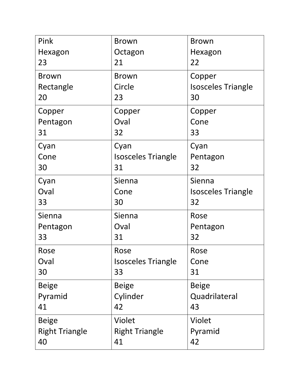| Pink                  | <b>Brown</b>              | <b>Brown</b>              |
|-----------------------|---------------------------|---------------------------|
| Hexagon               | Octagon                   | Hexagon                   |
| 23                    | 21                        | 22                        |
| <b>Brown</b>          | <b>Brown</b>              | Copper                    |
| Rectangle             | Circle                    | <b>Isosceles Triangle</b> |
| 20                    | 23                        | 30                        |
| Copper                | Copper                    | Copper                    |
| Pentagon              | Oval                      | Cone                      |
| 31                    | 32                        | 33                        |
| Cyan                  | Cyan                      | Cyan                      |
| Cone                  | <b>Isosceles Triangle</b> | Pentagon                  |
| 30                    | 31                        | 32                        |
| Cyan                  | Sienna                    | Sienna                    |
| Oval                  | Cone                      | <b>Isosceles Triangle</b> |
| 33                    | 30                        | 32                        |
| Sienna                | Sienna                    | Rose                      |
| Pentagon              | Oval                      | Pentagon                  |
| 33                    | 31                        | 32                        |
| Rose                  | Rose                      | Rose                      |
| Oval                  | <b>Isosceles Triangle</b> | Cone                      |
| 30                    | 33                        | 31                        |
| <b>Beige</b>          | <b>Beige</b>              | <b>Beige</b>              |
| Pyramid               | Cylinder                  | Quadrilateral             |
| 41                    | 42                        | 43                        |
| <b>Beige</b>          | <b>Violet</b>             | <b>Violet</b>             |
| <b>Right Triangle</b> | <b>Right Triangle</b>     | Pyramid                   |
| 40                    | 41                        | 42                        |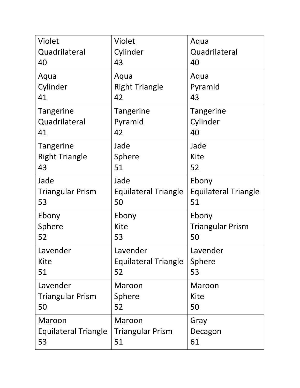| Violet                      | Violet                      | Aqua                        |
|-----------------------------|-----------------------------|-----------------------------|
| Quadrilateral               | Cylinder                    | Quadrilateral               |
| 40                          | 43                          | 40                          |
| Aqua                        | Aqua                        | Aqua                        |
| Cylinder                    | <b>Right Triangle</b>       | Pyramid                     |
| 41                          | 42                          | 43                          |
| Tangerine                   | Tangerine                   | Tangerine                   |
| Quadrilateral               | Pyramid                     | Cylinder                    |
| 41                          | 42                          | 40                          |
| <b>Tangerine</b>            | Jade                        | Jade                        |
| <b>Right Triangle</b>       | Sphere                      | <b>Kite</b>                 |
| 43                          | 51                          | 52                          |
| Jade                        | Jade                        | Ebony                       |
| <b>Triangular Prism</b>     | <b>Equilateral Triangle</b> | <b>Equilateral Triangle</b> |
| 53                          | 50                          | 51                          |
| Ebony                       | Ebony                       | Ebony                       |
| Sphere                      | <b>Kite</b>                 | <b>Triangular Prism</b>     |
| 52                          | 53                          | 50                          |
| Lavender                    | Lavender                    | Lavender                    |
| Kite                        | <b>Equilateral Triangle</b> | Sphere                      |
| 51                          | 52                          | 53                          |
| Lavender                    | Maroon                      | Maroon                      |
| <b>Triangular Prism</b>     | Sphere                      | Kite                        |
| 50                          | 52                          | 50                          |
| Maroon                      | Maroon                      | Gray                        |
| <b>Equilateral Triangle</b> | <b>Triangular Prism</b>     | Decagon                     |
| 53                          | 51                          | 61                          |